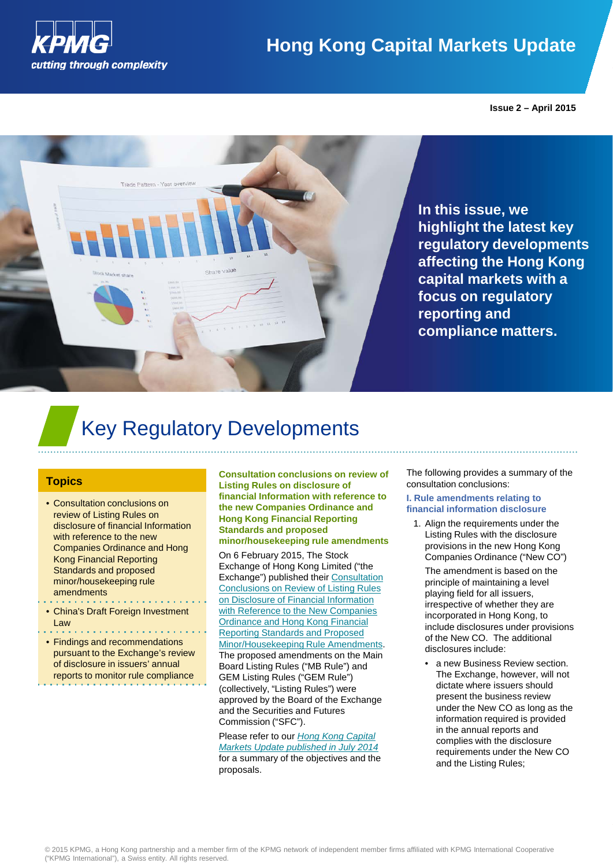

### **Hong Kong Capital Markets Update**

**Issue 2 – April 2015**



**In this issue, we highlight the latest key regulatory developments affecting the Hong Kong capital markets with a focus on regulatory reporting and compliance matters.** 

## Key Regulatory Developments

#### **Topics**

- Consultation conclusions on review of Listing Rules on disclosure of financial Information with reference to the new Companies Ordinance and Hong Kong Financial Reporting Standards and proposed minor/housekeeping rule amendments
- China's Draft Foreign Investment Law
- Findings and recommendations pursuant to the Exchange's review of disclosure in issuers' annual reports to monitor rule compliance

**Consultation conclusions on review of Listing Rules on disclosure of financial Information with reference to the new Companies Ordinance and Hong Kong Financial Reporting Standards and proposed minor/housekeeping rule amendments**

On 6 February 2015, The Stock Exchange of Hong Kong Limited ("the Exchange") published their [Consultation](http://www.hkex.com.hk/eng/newsconsul/mktconsul/Documents/cp201408cc.pdf)  [Conclusions on Review of Listing Rules](http://www.hkex.com.hk/eng/newsconsul/mktconsul/Documents/cp201408cc.pdf)  [on Disclosure of Financial Information](http://www.hkex.com.hk/eng/newsconsul/mktconsul/Documents/cp201408cc.pdf)  with Reference to the New Companies [Ordinance and Hong Kong Financial](http://www.hkex.com.hk/eng/newsconsul/mktconsul/Documents/cp201408cc.pdf)  [Reporting Standards and Proposed](http://www.hkex.com.hk/eng/newsconsul/mktconsul/Documents/cp201408cc.pdf)  [Minor/Housekeeping Rule Amendments.](http://www.hkex.com.hk/eng/newsconsul/mktconsul/Documents/cp201408cc.pdf) The proposed amendments on the Main Board Listing Rules ("MB Rule") and GEM Listing Rules ("GEM Rule") (collectively, "Listing Rules") were approved by the Board of the Exchange and the Securities and Futures Commission ("SFC").

Please refer to our *[Hong Kong Capital](http://www.kpmg.com/CN/en/IssuesAndInsights/ArticlesPublications/Newsletters/Hong-Kong-Capital-Markets-Update/Documents/HK-Capital-Markets-Update-1407-03.pdf)  [Markets Update published in July 2014](http://www.kpmg.com/CN/en/IssuesAndInsights/ArticlesPublications/Newsletters/Hong-Kong-Capital-Markets-Update/Documents/HK-Capital-Markets-Update-1407-03.pdf)* for a summary of the objectives and the proposals.

The following provides a summary of the consultation conclusions:

#### **I. Rule amendments relating to financial information disclosure**

1. Align the requirements under the Listing Rules with the disclosure provisions in the new Hong Kong Companies Ordinance ("New CO")

The amendment is based on the principle of maintaining a level playing field for all issuers, irrespective of whether they are incorporated in Hong Kong, to include disclosures under provisions of the New CO. The additional disclosures include:

• a new Business Review section. The Exchange, however, will not dictate where issuers should present the business review under the New CO as long as the information required is provided in the annual reports and complies with the disclosure requirements under the New CO and the Listing Rules;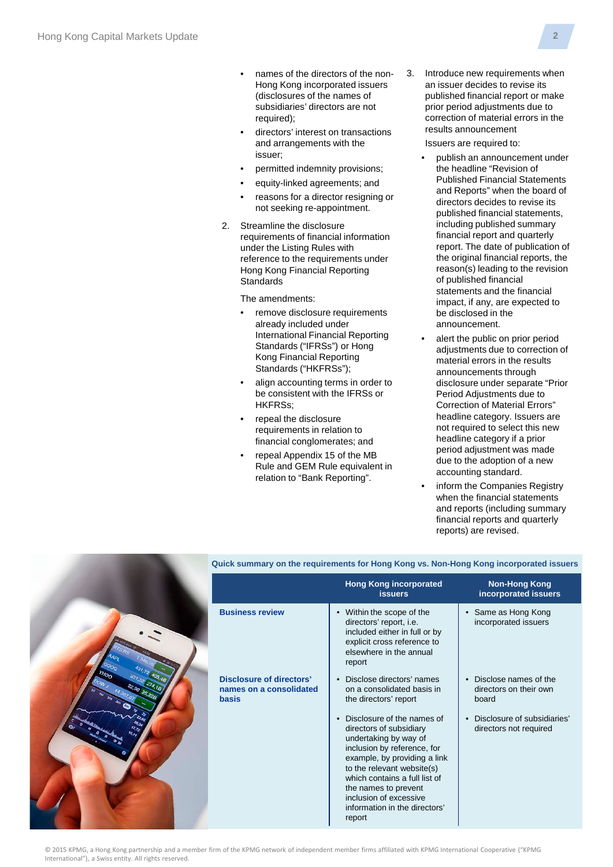- names of the directors of the non-Hong Kong incorporated issuers (disclosures of the names of subsidiaries' directors are not required);
- directors' interest on transactions and arrangements with the issuer;
- permitted indemnity provisions;
- equity-linked agreements; and
- reasons for a director resigning or not seeking re-appointment.
- 2. Streamline the disclosure requirements of financial information under the Listing Rules with reference to the requirements under Hong Kong Financial Reporting **Standards**

The amendments:

- remove disclosure requirements already included under International Financial Reporting Standards ("IFRSs") or Hong Kong Financial Reporting Standards ("HKFRSs");
- align accounting terms in order to be consistent with the IFRSs or HKFRSs;
- repeal the disclosure requirements in relation to financial conglomerates; and
- repeal Appendix 15 of the MB Rule and GEM Rule equivalent in relation to "Bank Reporting".

3. Introduce new requirements when an issuer decides to revise its published financial report or make prior period adjustments due to correction of material errors in the results announcement

Issuers are required to:

- publish an announcement under the headline "Revision of Published Financial Statements and Reports" when the board of directors decides to revise its published financial statements, including published summary financial report and quarterly report. The date of publication of the original financial reports, the reason(s) leading to the revision of published financial statements and the financial impact, if any, are expected to be disclosed in the announcement.
- alert the public on prior period adjustments due to correction of material errors in the results announcements through disclosure under separate "Prior Period Adjustments due to Correction of Material Errors" headline category. Issuers are not required to select this new headline category if a prior period adjustment was made due to the adoption of a new accounting standard.
- inform the Companies Registry when the financial statements and reports (including summary financial reports and quarterly reports) are revised.



#### **Quick summary on the requirements for Hong Kong vs. Non-Hong Kong incorporated issuers**

|                                                                     | <b>Hong Kong incorporated</b><br><b>issuers</b>                                                                                                                                                                                                                                                           | <b>Non-Hong Kong</b><br>incorporated issuers             |
|---------------------------------------------------------------------|-----------------------------------------------------------------------------------------------------------------------------------------------------------------------------------------------------------------------------------------------------------------------------------------------------------|----------------------------------------------------------|
| <b>Business review</b>                                              | Within the scope of the<br>directors' report, i.e.<br>included either in full or by<br>explicit cross reference to<br>elsewhere in the annual<br>report                                                                                                                                                   | Same as Hong Kong<br>$\bullet$<br>incorporated issuers   |
| Disclosure of directors'<br>names on a consolidated<br><b>basis</b> | Disclose directors' names<br>on a consolidated basis in<br>the directors' report                                                                                                                                                                                                                          | Disclose names of the<br>directors on their own<br>board |
|                                                                     | Disclosure of the names of<br>directors of subsidiary<br>undertaking by way of<br>inclusion by reference, for<br>example, by providing a link<br>to the relevant website(s)<br>which contains a full list of<br>the names to prevent<br>inclusion of excessive<br>information in the directors'<br>report | Disclosure of subsidiaries'<br>directors not required    |

© 2015 KPMG, a Hong Kong partnership and a member firm of the KPMG network of independent member firms affiliated with KPMG International Cooperative ("KPMG International"), a Swiss entity. All rights reserved.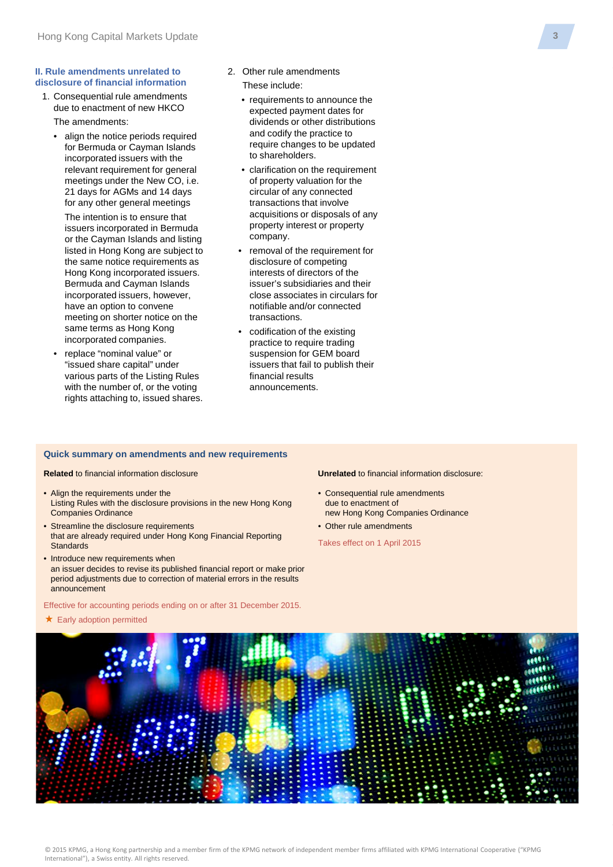#### **II. Rule amendments unrelated to disclosure of financial information**

- 1. Consequential rule amendments due to enactment of new HKCO The amendments:
	- align the notice periods required for Bermuda or Cayman Islands incorporated issuers with the relevant requirement for general meetings under the New CO, i.e. 21 days for AGMs and 14 days for any other general meetings

The intention is to ensure that issuers incorporated in Bermuda or the Cayman Islands and listing listed in Hong Kong are subject to the same notice requirements as Hong Kong incorporated issuers. Bermuda and Cayman Islands incorporated issuers, however, have an option to convene meeting on shorter notice on the same terms as Hong Kong incorporated companies.

• replace "nominal value" or "issued share capital" under various parts of the Listing Rules with the number of, or the voting rights attaching to, issued shares.

- 2. Other rule amendments These include:
	- requirements to announce the expected payment dates for dividends or other distributions and codify the practice to require changes to be updated to shareholders.
	- clarification on the requirement of property valuation for the circular of any connected transactions that involve acquisitions or disposals of any property interest or property company.
	- removal of the requirement for disclosure of competing interests of directors of the issuer's subsidiaries and their close associates in circulars for notifiable and/or connected transactions.
	- codification of the existing practice to require trading suspension for GEM board issuers that fail to publish their financial results announcements.

#### **Quick summary on amendments and new requirements**

**Related** to financial information disclosure

- Align the requirements under the Listing Rules with the disclosure provisions in the new Hong Kong Companies Ordinance
- Streamline the disclosure requirements that are already required under Hong Kong Financial Reporting **Standards**
- Introduce new requirements when an issuer decides to revise its published financial report or make prior period adjustments due to correction of material errors in the results announcement

Effective for accounting periods ending on or after 31 December 2015.

 $\star$  Early adoption permitted

**Unrelated** to financial information disclosure:

- Consequential rule amendments due to enactment of new Hong Kong Companies Ordinance
- Other rule amendments

Takes effect on 1 April 2015

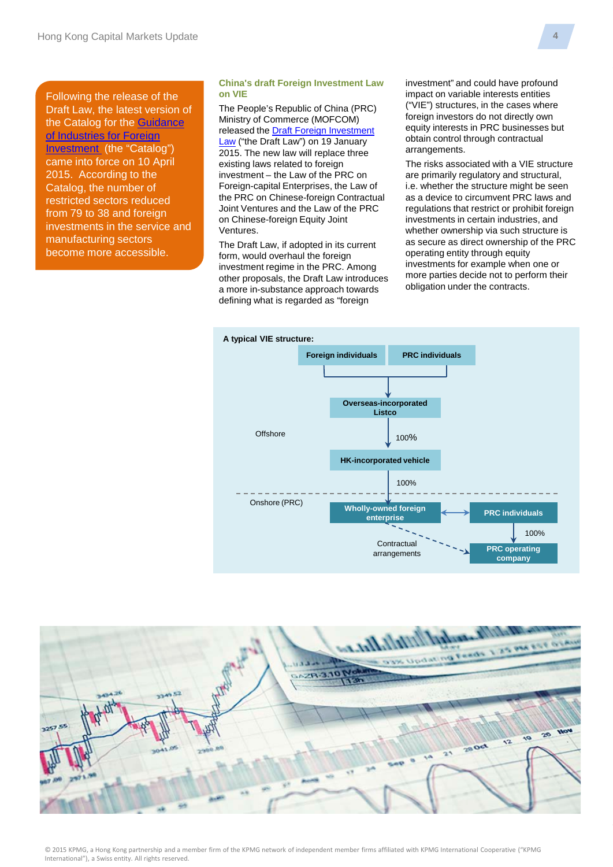Following the release of the Draft Law, the latest version of the Catalog for the [Guidance](http://www.sdpc.gov.cn/zcfb/zcfbl/201503/W020150402620481787669.pdf)  [of Industries for Foreign](http://www.sdpc.gov.cn/zcfb/zcfbl/201503/W020150402620481787669.pdf)  [Investment](http://www.sdpc.gov.cn/zcfb/zcfbl/201503/W020150402620481787669.pdf) (the "Catalog") came into force on 10 April 2015. According to the Catalog, the number of restricted sectors reduced from 79 to 38 and foreign investments in the service and manufacturing sectors become more accessible.

#### **China's draft Foreign Investment Law on VIE**

The People's Republic of China (PRC) Ministry of Commerce (MOFCOM) released the [Draft Foreign Investment](http://images.mofcom.gov.cn/www/201501/20150119165208087.doc)  [Law](http://images.mofcom.gov.cn/www/201501/20150119165208087.doc) ("the Draft Law") on 19 January 2015. The new law will replace three existing laws related to foreign investment – the Law of the PRC on Foreign-capital Enterprises, the Law of the PRC on Chinese-foreign Contractual Joint Ventures and the Law of the PRC on Chinese-foreign Equity Joint Ventures.

The Draft Law, if adopted in its current form, would overhaul the foreign investment regime in the PRC. Among other proposals, the Draft Law introduces a more in-substance approach towards defining what is regarded as "foreign

investment" and could have profound impact on variable interests entities ("VIE") structures, in the cases where foreign investors do not directly own equity interests in PRC businesses but obtain control through contractual arrangements.

The risks associated with a VIE structure are primarily regulatory and structural, i.e. whether the structure might be seen as a device to circumvent PRC laws and regulations that restrict or prohibit foreign investments in certain industries, and whether ownership via such structure is as secure as direct ownership of the PRC operating entity through equity investments for example when one or more parties decide not to perform their obligation under the contracts.





**4**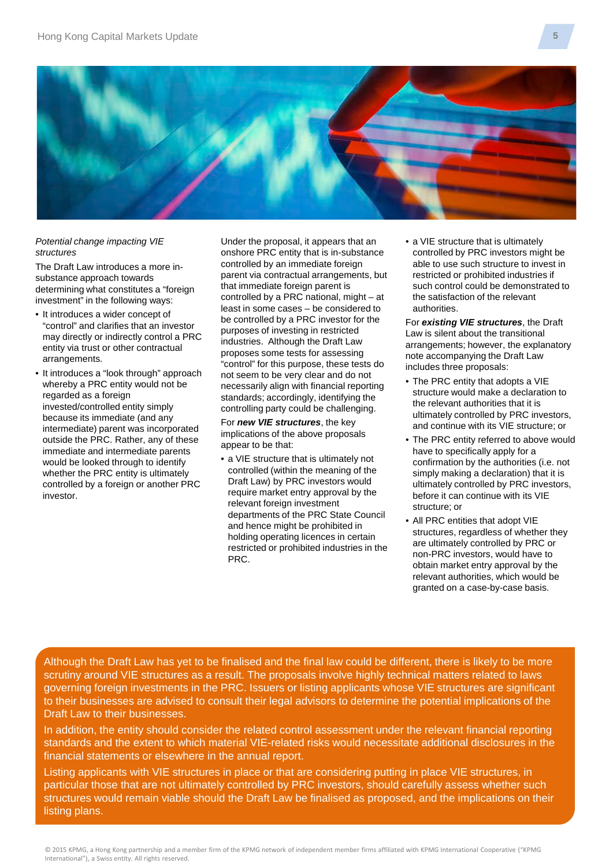

#### *Potential change impacting VIE structures*

The Draft Law introduces a more insubstance approach towards determining what constitutes a "foreign investment" in the following ways:

- It introduces a wider concept of "control" and clarifies that an investor may directly or indirectly control a PRC entity via trust or other contractual arrangements.
- It introduces a "look through" approach whereby a PRC entity would not be regarded as a foreign invested/controlled entity simply because its immediate (and any intermediate) parent was incorporated outside the PRC. Rather, any of these immediate and intermediate parents would be looked through to identify whether the PRC entity is ultimately controlled by a foreign or another PRC investor.

Under the proposal, it appears that an onshore PRC entity that is in-substance controlled by an immediate foreign parent via contractual arrangements, but that immediate foreign parent is controlled by a PRC national, might – at least in some cases – be considered to be controlled by a PRC investor for the purposes of investing in restricted industries. Although the Draft Law proposes some tests for assessing "control" for this purpose, these tests do not seem to be very clear and do not necessarily align with financial reporting standards; accordingly, identifying the controlling party could be challenging.

For *new VIE structures*, the key implications of the above proposals appear to be that:

• a VIE structure that is ultimately not controlled (within the meaning of the Draft Law) by PRC investors would require market entry approval by the relevant foreign investment departments of the PRC State Council and hence might be prohibited in holding operating licences in certain restricted or prohibited industries in the PRC.

• a VIE structure that is ultimately controlled by PRC investors might be able to use such structure to invest in restricted or prohibited industries if such control could be demonstrated to the satisfaction of the relevant authorities.

For *existing VIE structures*, the Draft Law is silent about the transitional arrangements; however, the explanatory note accompanying the Draft Law includes three proposals:

- The PRC entity that adopts a VIE structure would make a declaration to the relevant authorities that it is ultimately controlled by PRC investors, and continue with its VIE structure; or
- The PRC entity referred to above would have to specifically apply for a confirmation by the authorities (i.e. not simply making a declaration) that it is ultimately controlled by PRC investors, before it can continue with its VIE structure; or
- All PRC entities that adopt VIE structures, regardless of whether they are ultimately controlled by PRC or non-PRC investors, would have to obtain market entry approval by the relevant authorities, which would be granted on a case-by-case basis.

Although the Draft Law has yet to be finalised and the final law could be different, there is likely to be more scrutiny around VIE structures as a result. The proposals involve highly technical matters related to laws governing foreign investments in the PRC. Issuers or listing applicants whose VIE structures are significant to their businesses are advised to consult their legal advisors to determine the potential implications of the Draft Law to their businesses.

In addition, the entity should consider the related control assessment under the relevant financial reporting standards and the extent to which material VIE-related risks would necessitate additional disclosures in the financial statements or elsewhere in the annual report.

Listing applicants with VIE structures in place or that are considering putting in place VIE structures, in particular those that are not ultimately controlled by PRC investors, should carefully assess whether such structures would remain viable should the Draft Law be finalised as proposed, and the implications on their listing plans.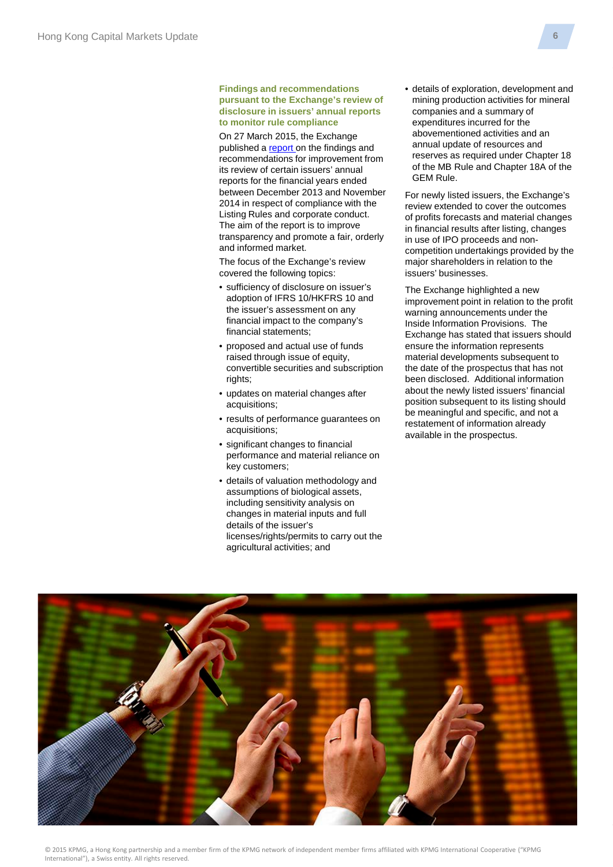#### **Findings and recommendations pursuant to the Exchange's review of disclosure in issuers' annual reports to monitor rule compliance**

On 27 March 2015, the Exchange published a [report](http://www.hkex.com.hk/eng/rulesreg/listrules/guidref/Documents/rdiar-2014.pdf) on the findings and recommendations for improvement from its review of certain issuers' annual reports for the financial years ended between December 2013 and November 2014 in respect of compliance with the Listing Rules and corporate conduct. The aim of the report is to improve transparency and promote a fair, orderly and informed market.

The focus of the Exchange's review covered the following topics:

- sufficiency of disclosure on issuer's adoption of IFRS 10/HKFRS 10 and the issuer's assessment on any financial impact to the company's financial statements;
- proposed and actual use of funds raised through issue of equity, convertible securities and subscription rights:
- updates on material changes after acquisitions;
- results of performance guarantees on acquisitions;
- significant changes to financial performance and material reliance on key customers;
- details of valuation methodology and assumptions of biological assets, including sensitivity analysis on changes in material inputs and full details of the issuer's licenses/rights/permits to carry out the agricultural activities; and

• details of exploration, development and mining production activities for mineral companies and a summary of expenditures incurred for the abovementioned activities and an annual update of resources and reserves as required under Chapter 18 of the MB Rule and Chapter 18A of the GEM Rule.

For newly listed issuers, the Exchange's review extended to cover the outcomes of profits forecasts and material changes in financial results after listing, changes in use of IPO proceeds and noncompetition undertakings provided by the major shareholders in relation to the issuers' businesses.

The Exchange highlighted a new improvement point in relation to the profit warning announcements under the Inside Information Provisions. The Exchange has stated that issuers should ensure the information represents material developments subsequent to the date of the prospectus that has not been disclosed. Additional information about the newly listed issuers' financial position subsequent to its listing should be meaningful and specific, and not a restatement of information already available in the prospectus.